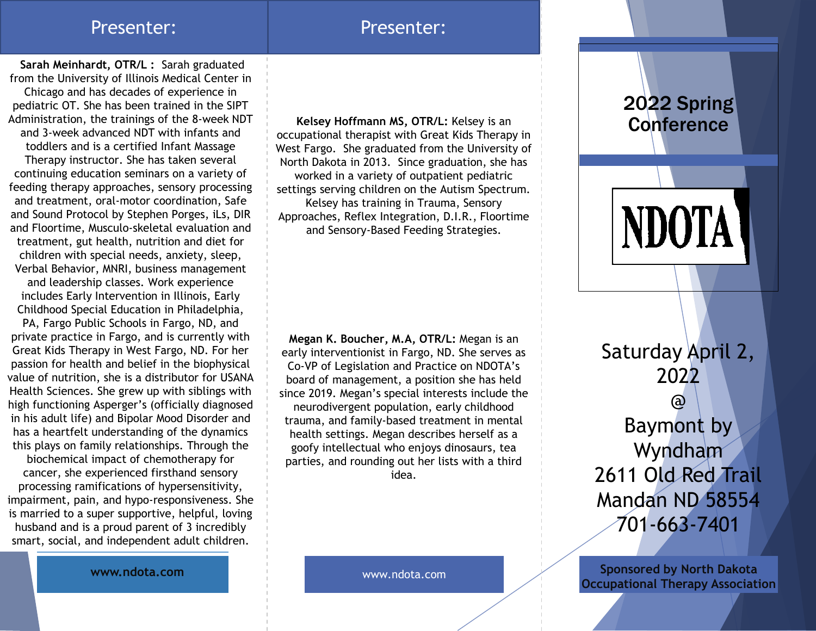### Presenter: Presenter:

**Sarah Meinhardt, OTR/L :** Sarah graduated from the University of Illinois Medical Center in Chicago and has decades of experience in pediatric OT. She has been trained in the SIPT Administration, the trainings of the 8-week NDT and 3-week advanced NDT with infants and toddlers and is a certified Infant Massage Therapy instructor. She has taken several continuing education seminars on a variety of feeding therapy approaches, sensory processing and treatment, oral-motor coordination, Safe and Sound Protocol by Stephen Porges, iLs, DIR and Floortime, Musculo-skeletal evaluation and treatment, gut health, nutrition and diet for children with special needs, anxiety, sleep, Verbal Behavior, MNRI, business management and leadership classes. Work experience includes Early Intervention in Illinois, Early Childhood Special Education in Philadelphia,

PA, Fargo Public Schools in Fargo, ND, and private practice in Fargo, and is currently with Great Kids Therapy in West Fargo, ND. For her passion for health and belief in the biophysical value of nutrition, she is a distributor for USANA Health Sciences. She grew up with siblings with high functioning Asperger's (officially diagnosed in his adult life) and Bipolar Mood Disorder and has a heartfelt understanding of the dynamics this plays on family relationships. Through the

biochemical impact of chemotherapy for cancer, she experienced firsthand sensory processing ramifications of hypersensitivity, impairment, pain, and hypo-responsiveness. She is married to a super supportive, helpful, loving husband and is a proud parent of 3 incredibly smart, social, and independent adult children.

**Kelsey Hoffmann MS, OTR/L:** Kelsey is an occupational therapist with Great Kids Therapy in West Fargo. She graduated from the University of North Dakota in 2013. Since graduation, she has worked in a variety of outpatient pediatric settings serving children on the Autism Spectrum. Kelsey has training in Trauma, Sensory Approaches, Reflex Integration, D.I.R., Floortime and Sensory-Based Feeding Strategies.

**Megan K. Boucher, M.A, OTR/L:** Megan is an Co-VP of Legislation and Practice on NDOTA's board of management, a position she has held neurodivergent population, early childhood trauma, and family-based treatment in mental health settings. Megan describes herself as a goofy intellectual who enjoys dinosaurs, tea parties, and rounding out her lists with a third idea.

2022 Spring **Conference** 

**NDOTA** 

early interventionist in Fargo, ND. She serves as since 2019. Megan's special interests include the

Saturday April 2, 2022 @ Baymont by Wyndham 2611 Old Red Trail Mandan ND 58554 701-663-7401

**Sponsored by North Dakota Occupational Therapy Association**

**www.ndota.com**

www.ndota.com